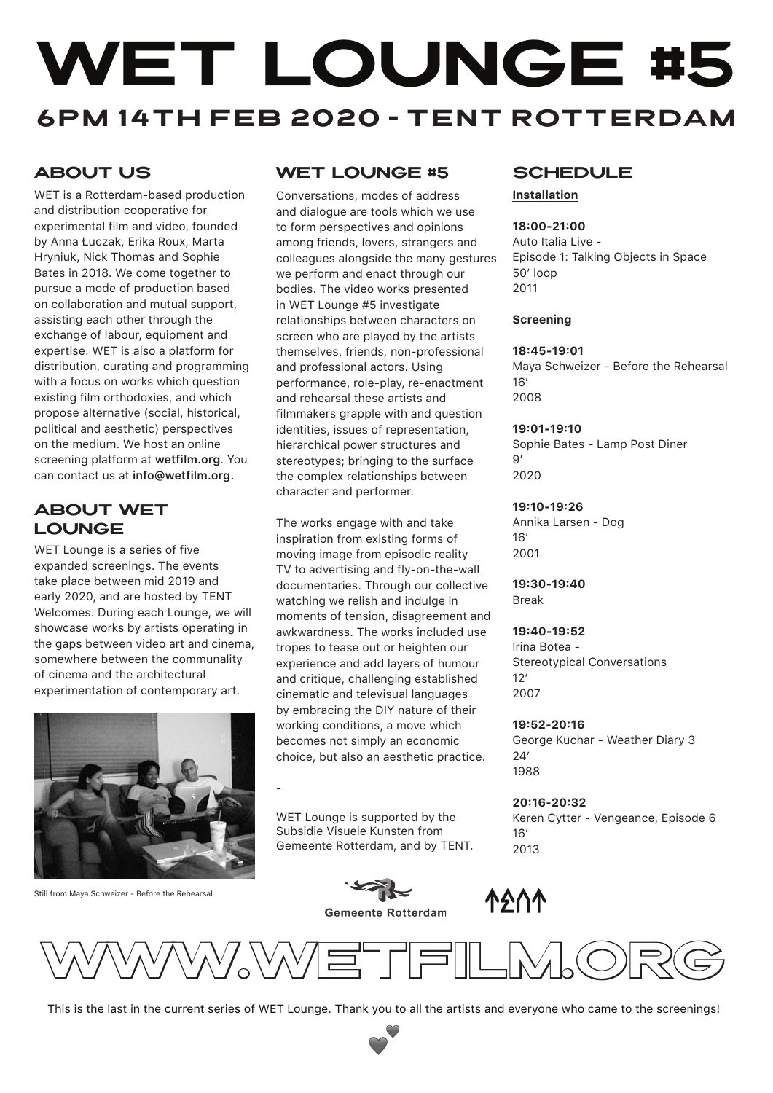# WET LOUNGE #5 6pm 14th feb 2020 - TENT Rotterdam

# **ABOUT US**

WET is a Rotterdam-based production and distribution cooperative for experimental film and video, founded by Anna Łuczak, Erika Roux, Marta Hryniuk, Nick Thomas and Sophie Bates in 2018. We come together to pursue a mode of production based on collaboration and mutual support, assisting each other through the exchange of labour, equipment and expertise. WET is also a platform for distribution, curating and programming with a focus on works which question existing film orthodoxies, and which propose alternative (social, historical, political and aesthetic) perspectives on the medium. We host an online screening platform at **wetfilm.org**. You can contact us at **info@wetfilm.org.**

## **ABOUT WET LOUNGE**

WET Lounge is a series of five expanded screenings. The events take place between mid 2019 and early 2020, and are hosted by TENT Welcomes. During each Lounge, we will showcase works by artists operating in the gaps between video art and cinema, somewhere between the communality of cinema and the architectural experimentation of contemporary art.



Still from Maya Schweizer - Before the Rehearsal

# WET LOUNGE #5 SCHEDULE

Conversations, modes of address and dialogue are tools which we use to form perspectives and opinions among friends, lovers, strangers and colleagues alongside the many gestures we perform and enact through our bodies. The video works presented in WET Lounge #5 investigate relationships between characters on screen who are played by the artists themselves, friends, non-professional and professional actors. Using performance, role-play, re-enactment and rehearsal these artists and filmmakers grapple with and question identities, issues of representation, hierarchical power structures and stereotypes; bringing to the surface the complex relationships between character and performer.

The works engage with and take inspiration from existing forms of moving image from episodic reality TV to advertising and fly-on-the-wall documentaries. Through our collective watching we relish and indulge in moments of tension, disagreement and awkwardness. The works included use tropes to tease out or heighten our experience and add layers of humour and critique, challenging established cinematic and televisual languages by embracing the DIY nature of their working conditions, a move which becomes not simply an economic choice, but also an aesthetic practice.

WET Lounge is supported by the Subsidie Visuele Kunsten from Gemeente Rotterdam, and by TENT.

-



# **Screening**

#### **18:45-19:01**

**Installation**

**18:00-21:00** Auto Italia Live -

50' loop 2011

Maya Schweizer - Before the Rehearsal 16' 2008

Episode 1: Talking Objects in Space

#### **19:01-19:10**

Sophie Bates - Lamp Post Diner  $Q'$ 2020

#### **19:10-19:26**

Annika Larsen - Dog  $16'$ 2001

**19:30-19:40** Break

#### **19:40-19:52**

Irina Botea - Stereotypical Conversations  $12'$ 2007

#### **19:52-20:16**

George Kuchar - Weather Diary 3  $24'$ 1988

**20:16-20:32** Keren Cytter - Vengeance, Episode 6 16' 2013





This is the last in the current series of WET Lounge. Thank you to all the artists and everyone who came to the screenings!